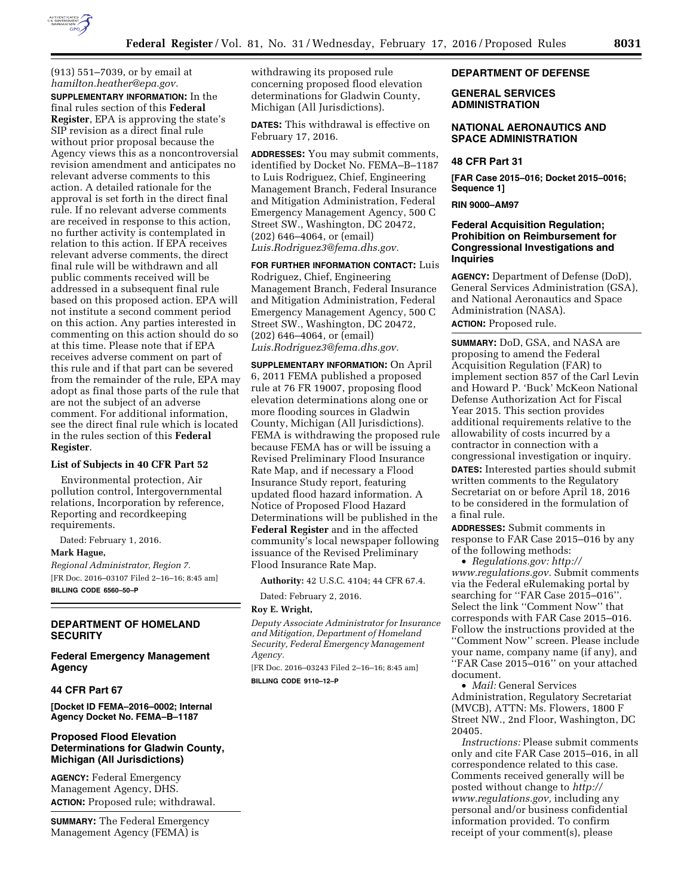

(913) 551–7039, or by email at *[hamilton.heather@epa.gov.](mailto:hamilton.heather@epa.gov)*  **SUPPLEMENTARY INFORMATION:** In the final rules section of this **Federal Register**, EPA is approving the state's SIP revision as a direct final rule without prior proposal because the Agency views this as a noncontroversial revision amendment and anticipates no relevant adverse comments to this action. A detailed rationale for the approval is set forth in the direct final rule. If no relevant adverse comments are received in response to this action, no further activity is contemplated in relation to this action. If EPA receives relevant adverse comments, the direct final rule will be withdrawn and all public comments received will be addressed in a subsequent final rule based on this proposed action. EPA will not institute a second comment period on this action. Any parties interested in commenting on this action should do so at this time. Please note that if EPA receives adverse comment on part of this rule and if that part can be severed from the remainder of the rule, EPA may adopt as final those parts of the rule that are not the subject of an adverse comment. For additional information, see the direct final rule which is located in the rules section of this **Federal Register**.

### **List of Subjects in 40 CFR Part 52**

Environmental protection, Air pollution control, Intergovernmental relations, Incorporation by reference, Reporting and recordkeeping requirements.

Dated: February 1, 2016.

**Mark Hague,** 

*Regional Administrator, Region 7.*  [FR Doc. 2016–03107 Filed 2–16–16; 8:45 am] **BILLING CODE 6560–50–P** 

# **DEPARTMENT OF HOMELAND SECURITY**

**Federal Emergency Management Agency** 

#### **44 CFR Part 67**

**[Docket ID FEMA–2016–0002; Internal Agency Docket No. FEMA–B–1187** 

### **Proposed Flood Elevation Determinations for Gladwin County, Michigan (All Jurisdictions)**

**AGENCY:** Federal Emergency Management Agency, DHS. **ACTION:** Proposed rule; withdrawal.

**SUMMARY:** The Federal Emergency Management Agency (FEMA) is

withdrawing its proposed rule concerning proposed flood elevation determinations for Gladwin County, Michigan (All Jurisdictions).

**DATES:** This withdrawal is effective on February 17, 2016.

**ADDRESSES:** You may submit comments, identified by Docket No. FEMA–B–1187 to Luis Rodriguez, Chief, Engineering Management Branch, Federal Insurance and Mitigation Administration, Federal Emergency Management Agency, 500 C Street SW., Washington, DC 20472, (202) 646–4064, or (email) *[Luis.Rodriguez3@fema.dhs.gov.](mailto:Luis.Rodriguez3@fema.dhs.gov)* 

**FOR FURTHER INFORMATION CONTACT:** Luis Rodriguez, Chief, Engineering Management Branch, Federal Insurance and Mitigation Administration, Federal Emergency Management Agency, 500 C Street SW., Washington, DC 20472, (202) 646–4064, or (email) *[Luis.Rodriguez3@fema.dhs.gov.](mailto:Luis.Rodriguez3@fema.dhs.gov)* 

**SUPPLEMENTARY INFORMATION:** On April 6, 2011 FEMA published a proposed rule at 76 FR 19007, proposing flood elevation determinations along one or more flooding sources in Gladwin County, Michigan (All Jurisdictions). FEMA is withdrawing the proposed rule because FEMA has or will be issuing a Revised Preliminary Flood Insurance Rate Map, and if necessary a Flood Insurance Study report, featuring updated flood hazard information. A Notice of Proposed Flood Hazard Determinations will be published in the **Federal Register** and in the affected community's local newspaper following issuance of the Revised Preliminary Flood Insurance Rate Map.

**Authority:** 42 U.S.C. 4104; 44 CFR 67.4.

Dated: February 2, 2016.

# **Roy E. Wright,**

*Deputy Associate Administrator for Insurance and Mitigation, Department of Homeland Security, Federal Emergency Management Agency.* 

[FR Doc. 2016–03243 Filed 2–16–16; 8:45 am] **BILLING CODE 9110–12–P** 

### **DEPARTMENT OF DEFENSE**

### **GENERAL SERVICES ADMINISTRATION**

### **NATIONAL AERONAUTICS AND SPACE ADMINISTRATION**

# **48 CFR Part 31**

**[FAR Case 2015–016; Docket 2015–0016; Sequence 1]** 

**RIN 9000–AM97** 

# **Federal Acquisition Regulation; Prohibition on Reimbursement for Congressional Investigations and Inquiries**

**AGENCY:** Department of Defense (DoD), General Services Administration (GSA), and National Aeronautics and Space Administration (NASA).

# **ACTION:** Proposed rule.

**SUMMARY:** DoD, GSA, and NASA are proposing to amend the Federal Acquisition Regulation (FAR) to implement section 857 of the Carl Levin and Howard P. 'Buck' McKeon National Defense Authorization Act for Fiscal Year 2015. This section provides additional requirements relative to the allowability of costs incurred by a contractor in connection with a congressional investigation or inquiry. **DATES:** Interested parties should submit written comments to the Regulatory Secretariat on or before April 18, 2016 to be considered in the formulation of a final rule.

**ADDRESSES:** Submit comments in response to FAR Case 2015–016 by any of the following methods:

• *Regulations.gov: [http://](http://www.regulations.gov) [www.regulations.gov.](http://www.regulations.gov)* Submit comments via the Federal eRulemaking portal by searching for ''FAR Case 2015–016''. Select the link ''Comment Now'' that corresponds with FAR Case 2015–016. Follow the instructions provided at the ''Comment Now'' screen. Please include your name, company name (if any), and ''FAR Case 2015–016'' on your attached document.

• *Mail:* General Services Administration, Regulatory Secretariat (MVCB), ATTN: Ms. Flowers, 1800 F Street NW., 2nd Floor, Washington, DC 20405.

*Instructions:* Please submit comments only and cite FAR Case 2015–016, in all correspondence related to this case. Comments received generally will be posted without change to *[http://](http://www.regulations.gov) [www.regulations.gov,](http://www.regulations.gov)* including any personal and/or business confidential information provided. To confirm receipt of your comment(s), please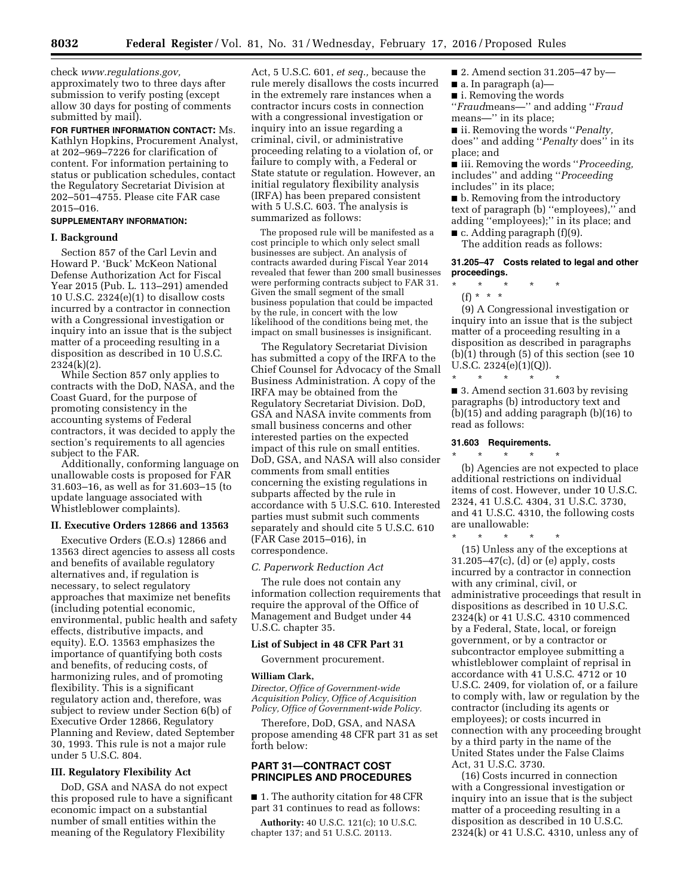check *[www.regulations.gov,](http://www.regulations.gov)*  approximately two to three days after submission to verify posting (except allow 30 days for posting of comments submitted by mail).

**FOR FURTHER INFORMATION CONTACT:** Ms. Kathlyn Hopkins, Procurement Analyst, at 202–969–7226 for clarification of content. For information pertaining to status or publication schedules, contact the Regulatory Secretariat Division at 202–501–4755. Please cite FAR case 2015–016.

### **SUPPLEMENTARY INFORMATION:**

#### **I. Background**

Section 857 of the Carl Levin and Howard P. 'Buck' McKeon National Defense Authorization Act for Fiscal Year 2015 (Pub. L. 113–291) amended 10 U.S.C. 2324(e)(1) to disallow costs incurred by a contractor in connection with a Congressional investigation or inquiry into an issue that is the subject matter of a proceeding resulting in a disposition as described in 10 U.S.C. 2324(k)(2).

While Section 857 only applies to contracts with the DoD, NASA, and the Coast Guard, for the purpose of promoting consistency in the accounting systems of Federal contractors, it was decided to apply the section's requirements to all agencies subject to the FAR.

Additionally, conforming language on unallowable costs is proposed for FAR 31.603–16, as well as for 31.603–15 (to update language associated with Whistleblower complaints).

# **II. Executive Orders 12866 and 13563**

Executive Orders (E.O.s) 12866 and 13563 direct agencies to assess all costs and benefits of available regulatory alternatives and, if regulation is necessary, to select regulatory approaches that maximize net benefits (including potential economic, environmental, public health and safety effects, distributive impacts, and equity). E.O. 13563 emphasizes the importance of quantifying both costs and benefits, of reducing costs, of harmonizing rules, and of promoting flexibility. This is a significant regulatory action and, therefore, was subject to review under Section 6(b) of Executive Order 12866, Regulatory Planning and Review, dated September 30, 1993. This rule is not a major rule under 5 U.S.C. 804.

# **III. Regulatory Flexibility Act**

DoD, GSA and NASA do not expect this proposed rule to have a significant economic impact on a substantial number of small entities within the meaning of the Regulatory Flexibility

Act, 5 U.S.C. 601, *et seq.,* because the rule merely disallows the costs incurred in the extremely rare instances when a contractor incurs costs in connection with a congressional investigation or inquiry into an issue regarding a criminal, civil, or administrative proceeding relating to a violation of, or failure to comply with, a Federal or State statute or regulation. However, an initial regulatory flexibility analysis (IRFA) has been prepared consistent with 5 U.S.C. 603. The analysis is summarized as follows:

The proposed rule will be manifested as a cost principle to which only select small businesses are subject. An analysis of contracts awarded during Fiscal Year 2014 revealed that fewer than 200 small businesses were performing contracts subject to FAR 31. Given the small segment of the small business population that could be impacted by the rule, in concert with the low likelihood of the conditions being met, the impact on small businesses is insignificant.

The Regulatory Secretariat Division has submitted a copy of the IRFA to the Chief Counsel for Advocacy of the Small Business Administration. A copy of the IRFA may be obtained from the Regulatory Secretariat Division. DoD, GSA and NASA invite comments from small business concerns and other interested parties on the expected impact of this rule on small entities. DoD, GSA, and NASA will also consider comments from small entities concerning the existing regulations in subparts affected by the rule in accordance with 5 U.S.C. 610. Interested parties must submit such comments separately and should cite 5 U.S.C. 610 (FAR Case 2015–016), in correspondence.

#### *C. Paperwork Reduction Act*

The rule does not contain any information collection requirements that require the approval of the Office of Management and Budget under 44 U.S.C. chapter 35.

#### **List of Subject in 48 CFR Part 31**

Government procurement.

#### **William Clark,**

*Director, Office of Government-wide Acquisition Policy, Office of Acquisition Policy, Office of Government-wide Policy.* 

Therefore, DoD, GSA, and NASA propose amending 48 CFR part 31 as set forth below:

### **PART 31—CONTRACT COST PRINCIPLES AND PROCEDURES**

■ 1. The authority citation for 48 CFR part 31 continues to read as follows:

**Authority:** 40 U.S.C. 121(c); 10 U.S.C. chapter 137; and 51 U.S.C. 20113.

- 2. Amend section 31.205–47 by—
- a. In paragraph (a)—
- **i.** Removing the words

''*Fraud*means—'' and adding ''*Fraud*  means—'' in its place;

■ ii. Removing the words "*Penalty*, does'' and adding ''*Penalty* does'' in its place; and

■ iii. Removing the words ''*Proceeding,*  includes'' and adding ''*Proceeding*  includes'' in its place;

■ b. Removing from the introductory text of paragraph (b) ''employees),'' and adding ''employees);'' in its place; and  $\blacksquare$  c. Adding paragraph (f)(9).

The addition reads as follows:

#### **31.205–47 Costs related to legal and other proceedings.**

\* \* \* \* \* (f) \* \* \*

(9) A Congressional investigation or inquiry into an issue that is the subject matter of a proceeding resulting in a disposition as described in paragraphs (b)(1) through (5) of this section (see 10 U.S.C. 2324(e)(1)(Q)).

■ 3. Amend section 31.603 by revising paragraphs (b) introductory text and (b)(15) and adding paragraph (b)(16) to read as follows:

### **31.603 Requirements.**

\* \* \* \* \*

\* \* \* \* \* (b) Agencies are not expected to place additional restrictions on individual items of cost. However, under 10 U.S.C. 2324, 41 U.S.C. 4304, 31 U.S.C. 3730, and 41 U.S.C. 4310, the following costs are unallowable:

\* \* \* \* \* (15) Unless any of the exceptions at

31.205–47(c), (d) or (e) apply, costs incurred by a contractor in connection with any criminal, civil, or administrative proceedings that result in dispositions as described in 10 U.S.C. 2324(k) or 41 U.S.C. 4310 commenced by a Federal, State, local, or foreign government, or by a contractor or subcontractor employee submitting a whistleblower complaint of reprisal in accordance with 41 U.S.C. 4712 or 10 U.S.C. 2409, for violation of, or a failure to comply with, law or regulation by the contractor (including its agents or employees); or costs incurred in connection with any proceeding brought by a third party in the name of the United States under the False Claims Act, 31 U.S.C. 3730.

(16) Costs incurred in connection with a Congressional investigation or inquiry into an issue that is the subject matter of a proceeding resulting in a disposition as described in 10 U.S.C. 2324(k) or 41 U.S.C. 4310, unless any of